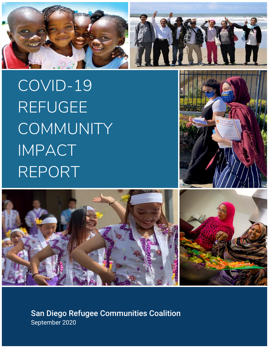

COVID-19 REFUGEE **COMMUNITY** IMPACT REPORT



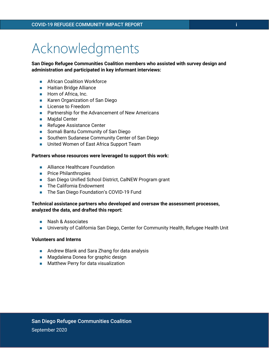## Acknowledgments

**San Diego Refugee Communities Coalition members who assisted with survey design and administration and participated in key informant interviews:**

- African Coalition Workforce
- Haitian Bridge Alliance
- Horn of Africa, Inc.
- Karen Organization of San Diego
- License to Freedom
- Partnership for the Advancement of New Americans
- Maidal Center
- Refugee Assistance Center
- Somali Bantu Community of San Diego
- Southern Sudanese Community Center of San Diego
- United Women of East Africa Support Team

### **Partners whose resources were leveraged to support this work:**

- Alliance Healthcare Foundation
- Price Philanthropies
- San Diego Unified School District, CalNEW Program grant
- The California Endowment
- The San Diego Foundation's COVID-19 Fund

### **Technical assistance partners who developed and oversaw the assessment processes, analyzed the data, and drafted this report:**

- Nash & Associates
- University of California San Diego, Center for Community Health, Refugee Health Unit

### **Volunteers and Interns**

- Andrew Blank and Sara Zhang for data analysis
- Magdalena Donea for graphic design
- Matthew Perry for data visualization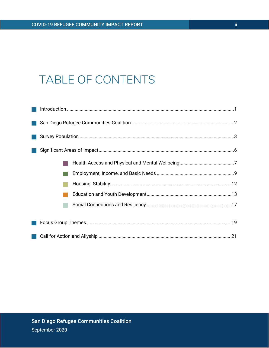### TABLE OF CONTENTS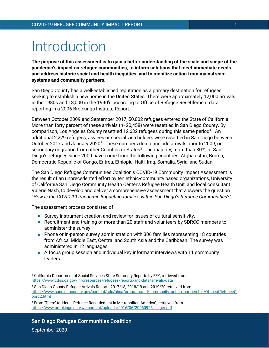## Introduction

**The purpose of this assessment is to gain a better understanding of the scale and scope of the pandemic's impact on refugee communities, to inform solutions that meet immediate needs and address historic social and health inequities, and to mobilize action from mainstream systems and community partners.** 

San Diego County has a well-established reputation as a primary destination for refugees seeking to establish a new home in the United States. There were approximately 12,000 arrivals in the 1980s and 18,000 in the 1990's according to Office of Refugee Resettlement data reporting in a 2006 Brookings Institute Report.

Between October 2009 and September 2017, 50,002 refugees entered the State of California. More than forty percent of these arrivals (n=20,458) were resettled in San Diego County. By comparison, Los Angeles County resettled 12,632 refugees during this same period<sup>1</sup>. An additional 2,229 refugees, asylees or special visa holders were resettled in San Diego between October 2017 and January 2020<sup>2</sup>. These numbers do not include arrivals prior to 2009, or secondary migration from other Counties or States<sup>3</sup>. The majority, more than 80%, of San Diego's refugees since 2000 have come from the following countries: Afghanistan, Burma, Democratic Republic of Congo, Eritrea, Ethiopia, Haiti, Iraq, Somalia, Syria, and Sudan.

The San Diego Refugee Communities Coalition's COVID-19 Community Impact Assessment is the result of an unprecedented effort by ten ethnic-community based organizations, University of California San Diego Community Health Center's Refugee Health Unit, and local consultant Valerie Nash, to develop and deliver a comprehensive assessment that answers the question "*How is the COVID-19 Pandemic Impacting families within San Diego's Refugee Communities*?"

The assessment process consisted of:

- Survey instrument creation and review for issues of cultural sensitivity.
- Recruitment and training of more than 20 staff and volunteers by SDRCC members to administer the survey.
- Phone or in-person survey administration with 306 families representing 18 countries from Africa, Middle East, Central and South Asia and the Caribbean. The survey was administered in 12 languages.
- A focus group session and individual key informant interviews with 11 community leaders.

<sup>1</sup> California Department of Social Services State Summary Reports by FFY, retrieved from <https://www.cdss.ca.gov/inforesources/refugees/reports-and-data/arrivals-data>

<sup>2</sup> San Diego County Refugee Arrivals Reports 2017/18, 2018/19 and 2019/20 retrieved from [https://www.sandiegocounty.gov/content/sdc/hhsa/programs/sd/community\\_action\\_partnership/OfficeofRefugeeC](https://www.sandiegocounty.gov/content/sdc/hhsa/programs/sd/community_action_partnership/OfficeofRefugeeCoord2.html) [oord2.html](https://www.sandiegocounty.gov/content/sdc/hhsa/programs/sd/community_action_partnership/OfficeofRefugeeCoord2.html)

<sup>3</sup> From 'There' to 'Here': Refugee Resettlement in Metropolitan America", retrieved from [https://www.brookings.edu/wp-content/uploads/2016/06/20060925\\_singer.pdf](https://www.brookings.edu/wp-content/uploads/2016/06/20060925_singer.pdf)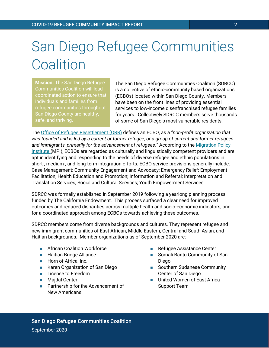# San Diego Refugee Communities **Coalition**

**Mission:** The San Diego Refugee Communities Coalition will lead coordinated action to ensure that individuals and families from refugee communities throughout San Diego County are healthy, safe, and thriving.

The San Diego Refugee Communities Coalition (SDRCC) is a collective of ethnic-community based organizations (ECBOs) located within San Diego County. Members have been on the front lines of providing essential services to low-income disenfranchised refugee families for years. Collectively SDRCC members serve thousands of some of San Diego's most vulnerable residents.

The [Office of Refugee Resettlement \(ORR\)](http://tinyurl.com/y79pcmv5) defines an ECBO, as a "*non-profit organization that was founded and is led by a current or former refugee, or a group of current and former refugees and immigrants, primarily for the advancement of refugees*." According to the Migration Policy Institute (MPI), ECBOs are regarded as culturally and linguistically competent providers and are apt in identifying and responding to the needs of diverse refugee and ethnic populations in short-, medium-, and long-term integration efforts. ECBO service provisions generally include: Case Management; Community Engagement and Advocacy; Emergency Relief; Employment Facilitation; Health Education and Promotion; Information and Referral; Interpretation and Translation Services; Social and Cultural Services; Youth Empowerment Services.

SDRCC was formally established in September 2019 following a yearlong planning process funded by The California Endowment. This process surfaced a clear need for improved outcomes and reduced disparities across multiple health and socio-economic indicators, and for a coordinated approach among ECBOs towards achieving these outcomes.

SDRCC members come from diverse backgrounds and cultures. They represent refugee and new immigrant communities of East African, Middle Eastern, Central and South Asian, and Haitian backgrounds. Member organizations as of September 2020 are:

- African Coalition Workforce
- Haitian Bridge Alliance
- Horn of Africa, Inc.
- Karen Organization of San Diego
- License to Freedom
- Majdal Center
- Partnership for the Advancement of New Americans
- Refugee Assistance Center
- Somali Bantu Community of San Diego
- Southern Sudanese Community Center of San Diego
- United Women of East Africa Support Team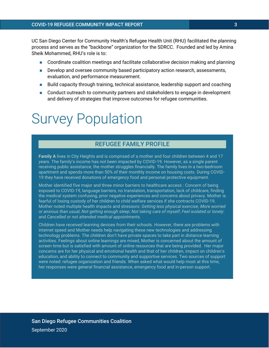UC San Diego Center for Community Health's Refugee Health Unit (RHU) facilitated the planning process and serves as the "backbone" organization for the SDRCC. Founded and led by Amina Sheik Mohammed, RHU's role is to:

- Coordinate coalition meetings and facilitate collaborative decision making and planning
- Develop and oversee community based participatory action research, assessments, evaluation, and performance measurement.
- Build capacity through training, technical assistance, leadership support and coaching
- Conduct outreach to community partners and stakeholders to engage in development and delivery of strategies that improve outcomes for refugee communities.

## Survey Population

### REFUGEE FAMILY PROFILE

**Family A** lives in City Heights and is comprised of a mother and four children between 4 and 17 years. The family's income has not been impacted by COVID-19. However, as a single parent receiving public assistance, the mother struggles financially. The family lives in a two-bedroom apartment and spends more than 50% of their monthly income on housing costs. During COVID-19 they have received donations of emergency food and personal protective equipment.

Mother identified five major and three minor barriers to healthcare access : Concern of being exposed to COVID-19, language barriers, no translation, transportation, lack of childcare, finding the medical system confusing, prior negative experiences and concerns about privacy. Mother is fearful of losing custody of her children to child welfare services if she contracts COVID-19. Mother noted multiple health impacts and stressors: *Getting less physical exercise*; *More worried or anxious than usual*; *Not getting enough sleep*; *Not taking care of myself*; *Feel isolated or lonely*: and *Cancelled or not attended medical appointments.*

Children have received learning devices from their schools. However, there are problems with internet speed and Mother needs help navigating these new technologies and addressing technology problems. The children don't have private spaces to take part in distance learning activities. Feelings about online learnings are mixed, Mother is concerned about the amount of screen time but is satisfied with amount of online resources that are being provided. Her major concerns are for her physical and emotional health and that of her children, impact on children's education, and ability to connect to community and supportive services. Two sources of support were noted: refugee organization and friends. When asked what would help most at this time, her responses were general financial assistance, emergency food and in-person support.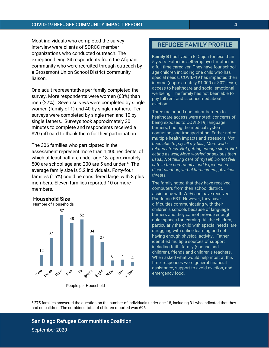Most individuals who completed the survey interview were clients of SDRCC member organizations who conducted outreach. The exception being 34 respondents from the Afghani community who were recruited through outreach by a Grossmont Union School District community liaison.

One adult representative per family completed the survey. More respondents were women (63%) than men (27%). Seven surveys were completed by single women (family of 1) and 40 by single mothers. Ten surveys were completed by single men and 10 by single fathers. Surveys took approximately 30 minutes to complete and respondents received a \$20 gift card to thank them for their participation.

The 306 families who participated in the assessment represent more than 1,400 residents, of which at least half are under age 18: approximately 500 are school age and 200 are 5 and under.<sup>4</sup> The average family size is 5.2 individuals. Forty-four families (15%) could be considered large, with 8 plus members. Eleven families reported 10 or more members.

### **Household Size**



People per Household

### REFUGEE FAMILY PROFILE

**Family B** has lived in El Cajon for less than 5 years. Father is self-employed, mother is a full-time caregiver. They have four schoolage children including one child who has special needs. COVID-19 has impacted their income (approximately \$1,000 or 30% less), access to healthcare and social emotional wellbeing. The family has not been able to pay full rent and is concerned about eviction.

Three major and one minor barriers to healthcare access were noted: concerns of being exposed to COVID-19, language barriers, finding the medical system confusing, and transportation. Father noted multiple health impacts and stressors: *Not been able to pay all my bills; More workrelated stress; Not getting enough sleep; Not eating as well; More worried or anxious than usual; Not taking care of myself; Do not feel safe in the community: and Experienced discrimination, verbal harassment, physical threats.*

The family noted that they have received computers from their school district, assistance with Wi-Fi and have received Pandemic-EBT. However, they have difficulties communicating with their children's schools because of language barriers and they cannot provide enough quiet spaces for learning. All the children, particularly the child with special needs, are struggling with online learning and not having enough physical activity. Father identified multiple sources of support including faith, family (spouse and children), friends and children's teachers. When asked what would help most at this time, responses were general financial assistance, support to avoid eviction, and emergency food.

<sup>4</sup> 275 families answered the question on the number of individuals under age 18, including 31 who indicated that they had no children. The combined total of children reported was 696.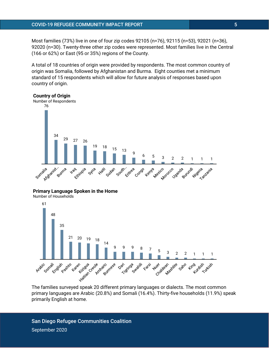Most families (73%) live in one of four zip codes 92105 (n=76), 92115 (n=53), 92021 (n=36), 92020 (n=30). Twenty-three other zip codes were represented. Most families live in the Central (166 or 62%) or East (95 or 35%) regions of the County.

A total of 18 countries of origin were provided by respondents. The most common country of origin was Somalia, followed by Afghanistan and Burma. Eight counties met a minimum standard of 15 respondents which will allow for future analysis of responses based upon country of origin.

### **Country of Origin**



**Primary Language Spoken in the Home**

Number of Households



The families surveyed speak 20 different primary languages or dialects. The most common primary languages are Arabic (20.8%) and Somali (16.4%). Thirty-five households (11.9%) speak primarily English at home.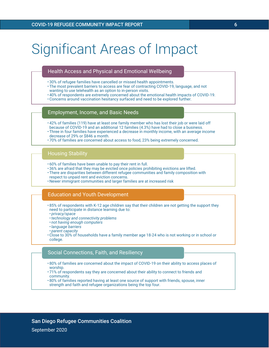## Significant Areas of Impact

### Health Access and Physical and Emotional Wellbeing

- 30% of refugee families have cancelled or missed health appointments.
- The most prevalent barriers to access are fear of contracting COVID-19, language, and not wanting to use telehealth as an option to in-person visits.
- 40% of respondents are extremely concerned about the emotional health impacts of COVID-19.
- Concerns around vaccination hesitancy surfaced and need to be explored further.

### Employment, Income, and Basic Needs

- 42% of families (119) have at least one family member who has lost their job or were laid off because of COVID-19 and an additional 12 families (4.3%) have had to close a business.
- Three in four families have experienced a decrease in monthly income, with an average income decrease of 29% or \$846 a month.
- 70% of families are concerned about access to food, 23% being extremely concerned.

### Housing Stability

- 60% of families have been unable to pay their rent in full.
- 36% are afraid that they may be evicted once policies prohibiting evictions are lifted.
- There are disparities between different refugee communities and family composition with respect to unpaid rent and eviction concerns.
- Newer immigrant communities and larger families are at increased risk

### Education and Youth Development

- 85% of respondents with K-12 age children say that their children are not getting the support they need to participate in distance learning due to:
- *privacy/space*
- •*technology and connectivity problems*
- *not having enough computers*
- •*language barriers*
- *parent capacity*
- Close to 30% of households have a family member age 18-24 who is not working or in school or college.

### Social Connections, Faith, and Resiliency

- 80% of families are concerned about the impact of COVID-19 on their ability to access places of worship.
- 71% of respondents say they are concerned about their ability to connect to friends and community.
- 80% of families reported having at least one source of support with friends, spouse, inner strength and faith and refugee organizations being the top four.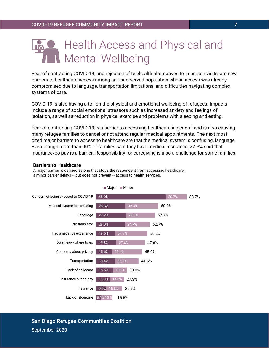### Health Access and Physical and Mental Wellbeing

Fear of contracting COVID-19, and rejection of telehealth alternatives to in-person visits, are new barriers to healthcare access among an underserved population whose access was already compromised due to language, transportation limitations, and difficulties navigating complex systems of care.

COVID-19 is also having a toll on the physical and emotional wellbeing of refugees. Impacts include a range of social emotional stressors such as increased anxiety and feelings of isolation, as well as reduction in physical exercise and problems with sleeping and eating.

Fear of contracting COVID-19 is a barrier to accessing healthcare in general and is also causing many refugee families to cancel or not attend regular medical appointments. The next most cited major barriers to access to healthcare are that the medical system is confusing, language. Even though more than 90% of families said they have medical insurance, 27.3% said that insurance/co-pay is a barrier. Responsibility for caregiving is also a challenge for some families.

### **Barriers to Healthcare**

A major barrier is defined as one that stops the respondent from accessing healthcare; a minor barrier delays -- but does not prevent -- access to health services.



#### $M$ ajor  $M$ inor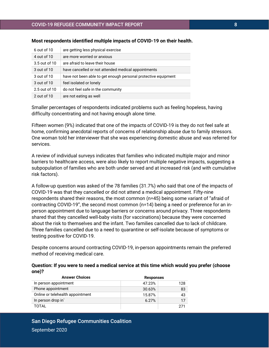| 6 out of 10   | are getting less physical exercise                             |
|---------------|----------------------------------------------------------------|
| 4 out of 10   | are more worried or anxious                                    |
| 3.5 out of 10 | are afraid to leave their house                                |
| 3 out of 10   | have cancelled or not attended medical appointments            |
| 3 out of 10   | have not been able to get enough personal protective equipment |
| 3 out of 10   | feel isolated or lonely                                        |
| 2.5 out of 10 | do not feel safe in the community                              |
| 2 out of 10   | are not eating as well                                         |

### **Most respondents identified multiple impacts of COVID-19 on their health.**

Smaller percentages of respondents indicated problems such as feeling hopeless, having difficulty concentrating and not having enough alone time.

Fifteen women (9%) indicated that one of the impacts of COVID-19 is they do not feel safe at home, confirming anecdotal reports of concerns of relationship abuse due to family stressors. One woman told her interviewer that she was experiencing domestic abuse and was referred for services.

A review of individual surveys indicates that families who indicated multiple major and minor barriers to healthcare access, were also likely to report multiple negative impacts, suggesting a subpopulation of families who are both under served and at increased risk (and with cumulative risk factors).

A follow-up question was asked of the 78 families (31.7%) who said that one of the impacts of COVID-19 was that they cancelled or did not attend a medical appointment. Fifty-nine respondents shared their reasons, the most common (n=45) being some variant of "afraid of contracting COVID-19", the second most common (n=14) being a need or preference for an inperson appointment due to language barriers or concerns around privacy. Three respondents shared that they cancelled well-baby visits (for vaccinations) because they were concerned about the risk to themselves and the infant. Two families cancelled due to lack of childcare. Three families cancelled due to a need to quarantine or self-isolate because of symptoms or testing positive for COVID-19.

Despite concerns around contracting COVID-19, in-person appointments remain the preferred method of receiving medical care.

| Question: If you were to need a medical service at this time which would you prefer (choose |  |
|---------------------------------------------------------------------------------------------|--|
| one)?                                                                                       |  |

| <b>Answer Choices</b>            | <b>Responses</b> |     |
|----------------------------------|------------------|-----|
| In person appointment            | 47.23%           | 128 |
| Phone appointment                | 30.63%           | 83  |
| Online or telehealth appointment | 15.87%           | 43  |
| In person drop in                | 6.27%            | 17  |
| <b>TOTAL</b>                     |                  | 271 |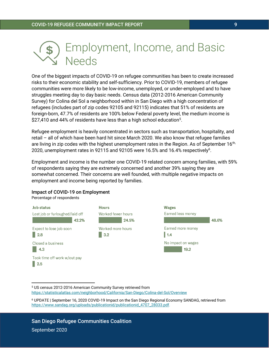

One of the biggest impacts of COVID-19 on refugee communities has been to create increased risks to their economic stability and self-sufficiency. Prior to COVID-19, members of refugee communities were more likely to be low-income, unemployed, or under-employed and to have struggles meeting day to day basic needs. Census data (2012-2016 American Community Survey) for Colina del Sol a neighborhood within in San Diego with a high concentration of refugees (includes part of zip codes 92105 and 92115) indicates that 51% of residents are foreign-born, 47.7% of residents are 100% below Federal poverty level, the medium income is \$27,410 and 44% of residents have less than a high school education $^5$ .

Refugee employment is heavily concentrated in sectors such as transportation, hospitality, and retail – all of which have been hard hit since March 2020. We also know that refugee families are living in zip codes with the highest unemployment rates in the Region. As of September 16<sup>th,</sup> 2020, unemployment rates in 92115 and 92105 were 16.5% and 16.4% respectively<sup>6</sup>.

Employment and income is the number one COVID-19 related concern among families, with 59% of respondents saying they are extremely concerned and another 39% saying they are somewhat concerned. Their concerns are well founded, with multiple negative impacts on employment and income being reported by families.



### Impact of COVID-19 on Employment

<sup>5</sup> US census 2012-2016 American Community Survey retrieved from <https://statisticalatlas.com/neighborhood/California/San-Diego/Colina-del-Sol/Overview>

<sup>6</sup> UPDATE | September 16, 2020 COVID-19 Impact on the San Diego Regional Economy SANDAG, retrieved from [https://www.sandag.org/uploads/publicationid/publicationid\\_4707\\_28033.pdf.](https://www.sandag.org/uploads/publicationid/publicationid_4707_28033.pdf)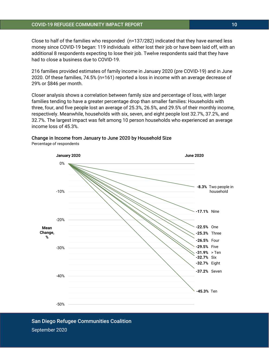Close to half of the families who responded (n=137/282) indicated that they have earned less money since COVID-19 began: 119 individuals either lost their job or have been laid off, with an additional 8 respondents expecting to lose their job. Twelve respondents said that they have had to close a business due to COVID-19.

216 families provided estimates of family income in January 2020 (pre COVID-19) and in June 2020. Of these families, 74.5% (n=161) reported a loss in income with an average decrease of 29% or \$846 per month.

Closer analysis shows a correlation between family size and percentage of loss, with larger families tending to have a greater percentage drop than smaller families: Households with three, four, and five people lost an average of 25.3%, 26.5%, and 29.5% of their monthly income, respectively. Meanwhile, households with six, seven, and eight people lost 32.7%, 37.2%, and 32.7%. The largest impact was felt among 10 person households who experienced an average income loss of 45.3%.

### Change in Income from January to June 2020 by Household Size Percentage of respondents

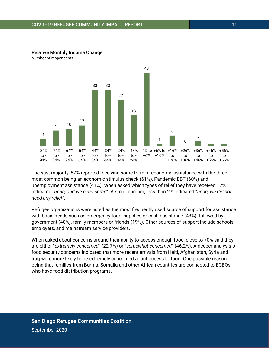

### Relative Monthly Income Change

Number of respondents

The vast majority, 87% reported receiving some form of economic assistance with the three most common being an economic stimulus check (61%), Pandemic EBT (60%) and unemployment assistance (41%). When asked which types of relief they have received 12% indicated "*none, and we need some*". A small number, less than 2% indicated "*none, we did not need any relief*".

Refugee organizations were listed as the most frequently used source of support for assistance with basic needs such as emergency food, supplies or cash assistance (43%), followed by government (40%), family members or friends (19%). Other sources of support include schools, employers, and mainstream service providers.

When asked about concerns around their ability to access enough food, close to 70% said they are either "*extremely concerned*" (22.7%) or "*somewhat concerned*" (46.2%). A deeper analysis of food security concerns indicated that more recent arrivals from Haiti, Afghanistan, Syria and Iraq were more likely to be extremely concerned about access to food. One possible reason being that families from Burma, Somalia and other African countries are connected to ECBOs who have food distribution programs.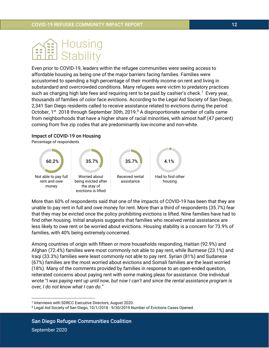

Even prior to COVID-19, leaders within the refugee communities were seeing access to affordable housing as being one of the major barriers facing families. Families were accustomed to spending a high percentage of their monthly income on rent and living in substandard and overcrowded conditions. Many refugees were victim to predatory practices such as charging high late fees and requiring rent to be paid by cashier's check.<sup>7</sup> Every year, thousands of families of color face evictions. According to the Legal Aid Society of San Diego, 2,341 San Diego residents called to receive assistance related to evictions during the period October, 1<sup>st</sup> 2018 through September 30th, 2019.<sup>8</sup> A disproportionate number of calls came from neighborhoods that have a higher share of racial minorities, with almost half (47 percent) coming from five zip codes that are predominantly low-income and non-white.

### Impact of COVID-19 on Housing

Percentage of respondents



More than 60% of respondents said that one of the impacts of COVID-19 has been that they are unable to pay rent in full and owe money for rent. More than a third of respondents (35.7%) fear that they may be evicted once the policy prohibiting evictions is lifted. Nine families have had to find other housing. Initial analysis suggests that families who received rental assistance are less likely to owe rent or be worried about evictions. Housing stability is a concern for 73.9% of families, with 40% being extremely concerned.

Among countries of origin with fifteen or more households responding, Haitian (92.9%) and Afghan (72.4%) families were most commonly not able to pay rent, while Burmese (23.1%) and Iraqi (33.3%) families were least commonly not able to pay rent. Syrian (81%) and Sudanese (67%) families are the most worried about evictions and Somali families are the least worried (18%). Many of the comments provided by families in response to an open-ended question, reiterated concerns about paying rent with some making pleas for assistance. One individual wrote "*I was paying rent up until now, but now I can't and since the rental assistance program is over, I do not know what I can do*."

<sup>7</sup> Interviews with SDRCC Executive Directors, August 2020.

<sup>8</sup> Legal Aid Society of San Diego, 10/1/2018 - 9/30/2019 Number of Evictions Cases Opened.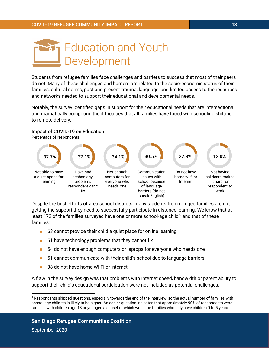

Students from refugee families face challenges and barriers to success that most of their peers do not. Many of these challenges and barriers are related to the socio-economic status of their families, cultural norms, past and present trauma, language, and limited access to the resources and networks needed to support their educational and developmental needs.

Notably, the survey identified gaps in support for their educational needs that are intersectional and dramatically compound the difficulties that all families have faced with schooling shifting to remote delivery.

### Impact of COVID-19 on Education

Percentage of respondents



Despite the best efforts of area school districts, many students from refugee families are not getting the support they need to successfully participate in distance learning. We know that at least 172 of the families surveyed have one or more school-age child,<sup>9</sup> and that of these families:

- 63 cannot provide their child a quiet place for online learning
- $\blacksquare$  61 have technology problems that they cannot fix
- 54 do not have enough computers or laptops for everyone who needs one
- 51 cannot communicate with their child's school due to language barriers
- ◼ 38 do not have home Wi-Fi or internet

A flaw in the survey design was that problems with internet speed/bandwidth or parent ability to support their child's educational participation were not included as potential challenges.

<sup>9</sup> Respondents skipped questions, especially towards the end of the interview, so the actual number of families with school-age children is likely to be higher. An earlier question indicates that approximately 90% of respondents were families with children age 18 or younger, a subset of which would be families who only have children 0 to 5 years.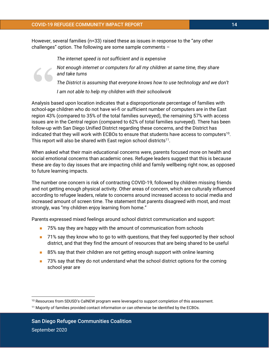However, several families (n=33) raised these as issues in response to the "any other challenges" option. The following are some sample comments –

*The internet speed is not sufficient and is expensive*

*Not enough internet or computers for all my children at same time, they share and take turns*

Not enough internet or computers for all my children at same time, they share<br>
and take turns<br>
The District is assuming that everyone knows how to use technology and we don<br>
I am not able to help my children with their sch *The District is assuming that everyone knows how to use technology and we don't I am not able to help my children with their schoolwork*

school-age children who do not have wi-fi or sufficient number of computers are in the East region 43% (compared to 35% of the total families surveyed), the remaining 57% with access issues are in the Central region (compared to 62% of total families surveyed). There has been follow-up with San Diego Unified District regarding these concerns, and the District has indicated that they will work with ECBOs to ensure that students have access to computers $^{10}$ . This report will also be shared with East region school districts $^{11}$ .

When asked what their main educational concerns were, parents focused more on health and social emotional concerns than academic ones. Refugee leaders suggest that this is because these are day to day issues that are impacting child and family wellbeing right now, as opposed to future learning impacts.

The number one concern is risk of contracting COVID-19, followed by children missing friends and not getting enough physical activity. Other areas of concern, which are culturally influenced according to refugee leaders, relate to concerns around increased access to social media and increased amount of screen time. The statement that parents disagreed with most, and most strongly, was "my children enjoy learning from home."

Parents expressed mixed feelings around school district communication and support:

- 75% say they are happy with the amount of communication from schools
- 71% say they know who to go to with questions, that they feel supported by their school district, and that they find the amount of resources that are being shared to be useful
- 85% say that their children are not getting enough support with online learning
- 73% say that they do not understand what the school district options for the coming school year are

<sup>&</sup>lt;sup>10</sup> Resources from SDUSD's CalNEW program were leveraged to support completion of this assessment.

<sup>11</sup> Majority of families provided contact information or can otherwise be identified by the ECBOs.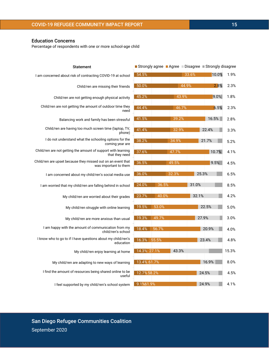Child/ren are upset because they missed out on an event that was important to them

I am concerned about my child/ren's social media use

I am worried that my child/ren are falling behind in school

My child/ren are worried about their grades

My child/ren struggle with online learning

My child/ren are more anxious than usual

I am happy with the amount of communication from my child/ren's school

I know who to go to if I have questions about my child/ren's education

My child/ren enjoy learning at home

My child/ren are adapting to new ways of learning

I find the amount of resources being shared online to be useful

I feel supported by my child/ren's school system

| <b>San Diego Refugee Communities Coalition</b> |  |
|------------------------------------------------|--|
| September 2020                                 |  |

|             |           | ■ Strongly agree ■ Agree ■ Disagree ■ Strongly disagree |       |          |       |
|-------------|-----------|---------------------------------------------------------|-------|----------|-------|
| 54.5%       |           |                                                         | 33.6% | $10.0\%$ | 1.9%  |
| 50.0%       |           | 44.9%                                                   |       | 2.8%     | 2.3%  |
| 45.2%       |           | $\sqrt{43.9\%}$                                         |       | 9.0%     | 1.8%  |
| 44.4%       |           | 46.7%                                                   |       | 6.5%     | 2.3%  |
| 41.5%       |           | 39.2%                                                   |       | 16.5%    | 2.8%  |
| 41.4%       |           | 32.9%                                                   |       | 22.4%    | 3.3%  |
|             |           |                                                         |       |          |       |
| 38.2%       |           | 34.9%                                                   |       | 21.7%    | 5.2%  |
| 37.6%       |           | 47.7%                                                   |       | 10.7%    | 4.1%  |
| 36.5%       |           | 49.5%                                                   |       | 9.5%     | 4.5%  |
| 36.0%       |           | 32.3%                                                   | 25.3% |          | 6.5%  |
| 24.0%       | 36.5%     |                                                         | 31.0% |          | 8.5%  |
|             |           |                                                         |       |          |       |
| 23.7%       | $ 40.0\%$ |                                                         | 32.1% |          | 4.2%  |
| 19.5%       | 53.0%     |                                                         |       | 22.5%    | 5.0%  |
| 19.3%       | 49.7%     |                                                         | 27.9% |          | 3.0%  |
| 18.4%       | 56.7%     |                                                         |       | 20.9%    | 4.0%  |
| 16.3% 55.5% |           |                                                         |       | 23.4%    | 4.8%  |
| 14.3% 27.1% |           | 43.3%                                                   |       |          | 15.3% |
| 13.4% 61.7% |           |                                                         |       | 16.9%    | 8.0%  |
|             |           |                                                         |       |          |       |
| 12.7% 58.2% |           |                                                         |       | 24.5%    | 4.5%  |
| 9.1%61.9%   |           |                                                         |       | 24.9%    | 4.1%  |

Percentage of respondents with one or more school-age child

Statement I am concerned about risk of contracting COVID-19 at school

Child/ren are missing their friends

need

phone)

Child/ren are not getting enough physical activity

Balancing work and family has been stressful

Child/ren are not getting the amount of outdoor time they

Child/ren are having too much screen time (laptop, TV,

I do not understand what the schooling options for the

Education Concerns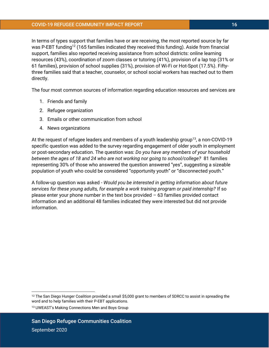In terms of types support that families have or are receiving, the most reported source by far was P-EBT funding<sup>12</sup> (165 families indicated they received this funding). Aside from financial support, families also reported receiving assistance from school districts: online learning resources (43%), coordination of zoom classes or tutoring (41%), provision of a lap top (31% or 61 families), provision of school supplies (31%), provision of Wi-Fi or Hot-Spot (17.5%). Fiftythree families said that a teacher, counselor, or school social workers has reached out to them directly.

The four most common sources of information regarding education resources and services are

- 1. Friends and family
- 2. Refugee organization
- 3. Emails or other communication from school
- 4. News organizations

At the request of refugee leaders and members of a youth leadership group<sup>13</sup>, a non-COVID-19 specific question was added to the survey regarding engagement of older youth in employment or post-secondary education. The question was: *Do you have any members of your household between the ages of 18 and 24 who are not working nor going to school/college?* 81 families representing 30% of those who answered the question answered "yes", suggesting a sizeable population of youth who could be considered "opportunity youth" or "disconnected youth."

A follow-up question was asked - *Would you be interested in getting information about future services for these young adults, for example a work training program or paid internship?* If so please enter your phone number in the text box provided  $-63$  families provided contact information and an additional 48 families indicated they were interested but did not provide information.

<sup>&</sup>lt;sup>12</sup> The San Diego Hunger Coalition provided a small \$5,000 grant to members of SDRCC to assist in spreading the word and to help families with their P-EBT applications.

<sup>13</sup> UWEAST's Making Connections Men and Boys Group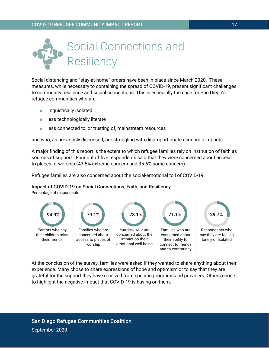

Social distancing and "stay-at-home" orders have been in place since March 2020. These measures, while necessary to containing the spread of COVID-19, present significant challenges to community resilience and social connections. This is especially the case for San Diego's refugee communities who are:

- linguistically isolated
- less technologically literate
- less connected to, or trusting of, mainstream resources

and who, as previously discussed, are struggling with disproportionate economic impacts.

A major finding of this report is the extent to which refugee families rely on institution of faith as sources of support. Four out of five respondents said that they were concerned about access to places of worship (43.5% extreme concern and 35.6% some concern).

Refugee families are also concerned about the social-emotional toll of COVID-19.

### Impact of COVID-19 on Social Connections, Faith, and Resiliency

Percentage of respondents



At the conclusion of the survey, families were asked if they wanted to share anything about their experience. Many chose to share expressions of hope and optimism or to say that they are grateful for the support they have received from specific programs and providers. Others chose to highlight the negative impact that COVID-19 is having on them.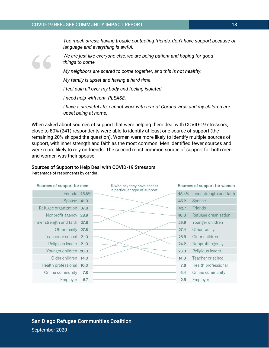*Too much stress, having trouble contacting friends, don't have support because of language and everything is awful.*



*We are just like everyone else, we are being patient and hoping for good things to come.*

*My neighbors are scared to come together, and this is not healthy.*

*My family is upset and having a hard time.*

*I feel pain all over my body and feeling isolated.*

*I need help with rent. PLEASE.*

*I have a stressful life, cannot work with fear of Corona virus and my children are upset being at home.*

When asked about sources of support that were helping them deal with COVID-19 stressors, close to 80% (241) respondents were able to identify at least one source of support (the remaining 20% skipped the question). Women were more likely to identify multiple sources of support, with inner strength and faith as the most common. Men identified fewer sources and were more likely to rely on friends. The second most common source of support for both men and women was their spouse.

### Sources of Support to Help Deal with COVID-19 Stressors

Percentage of respondents by gender

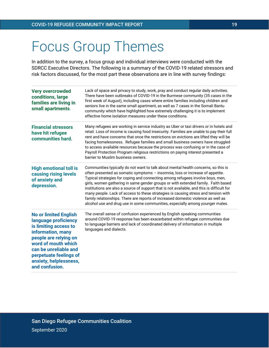## Focus Group Themes

In addition to the survey, a focus group and individual interviews were conducted with the SDRCC Executive Directors. The following is a summary of the COVID-19 related stressors and risk factors discussed, for the most part these observations are in line with survey findings:

| <b>Very overcrowded</b><br>conditions, large<br>families are living in<br>small apartments.                                                                                                                                                       | Lack of space and privacy to study, work, pray and conduct regular daily activities.<br>There have been outbreaks of COVID-19 in the Burmese community (35 cases in the<br>first week of August), including cases where entire families including children and<br>seniors live in the same small apartment, as well as 7 cases in the Somali Bantu<br>community which have highlighted how extremely challenging it is to implement<br>effective home isolation measures under these conditions.                                                                                                                                                                                                     |
|---------------------------------------------------------------------------------------------------------------------------------------------------------------------------------------------------------------------------------------------------|------------------------------------------------------------------------------------------------------------------------------------------------------------------------------------------------------------------------------------------------------------------------------------------------------------------------------------------------------------------------------------------------------------------------------------------------------------------------------------------------------------------------------------------------------------------------------------------------------------------------------------------------------------------------------------------------------|
| <b>Financial stressors</b><br>have hit refugee<br>communities hard.                                                                                                                                                                               | Many refugees are working in service industry as Uber or taxi drivers or in hotels and<br>retail. Loss of income is causing food insecurity. Families are unable to pay their full<br>rent and have concerns that once the restrictions on evictions are lifted they will be<br>facing homelessness. Refugee families and small business owners have struggled<br>to access available resources because the process was confusing or in the case of<br>Payroll Protection Program religious restrictions on paying interest presented a<br>barrier to Muslim business owners.                                                                                                                        |
| <b>High emotional toll is</b><br>causing rising levels<br>of anxiety and<br>depression.                                                                                                                                                           | Communities typically do not want to talk about mental health concerns, so this is<br>often presented as somatic symptoms - insomnia, loss or increase of appetite.<br>Typical strategies for coping and connecting among refugees involve boys, men,<br>girls, women gathering in same gender groups or with extended family. Faith based<br>institutions are also a source of support that is not available, and this is difficult for<br>many people. Lack of access to these strategies is causing stress and tension with<br>family relationships. There are reports of increased domestic violence as well as<br>alcohol use and drug use in some communities, especially among younger males. |
| <b>No or limited English</b><br>language proficiency<br>is limiting access to<br>information, many<br>people are relying on<br>word of mouth which<br>can be unreliable and<br>perpetuate feelings of<br>anxiety, helplessness,<br>and confusion. | The overall sense of confusion experienced by English speaking communities<br>around COVID-19 response has been exacerbated within refugee communities due<br>to language barriers and lack of coordinated delivery of information in multiple<br>languages and dialects.                                                                                                                                                                                                                                                                                                                                                                                                                            |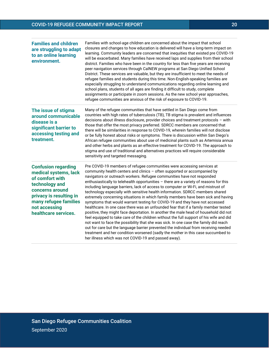| <b>Families and children</b><br>are struggling to adapt<br>to an online learning<br>environment.                                                                                                         | Families with school-age children are concerned about the impact that school<br>closures and changes to how education is delivered will have a long-term impact on<br>learning. Community leaders are concerned that inequities that existed pre COVID-19<br>will be exacerbated. Many families have received laps and supplies from their school<br>district. Families who have been in the country for less than five years are receiving<br>peer navigation services through CalNEW programs at San Diego Unified School<br>District. These services are valuable, but they are insufficient to meet the needs of<br>refugee families and students during this time. Non-English-speaking families are<br>especially struggling to understand communications regarding online learning and<br>school plans, students of all ages are finding it difficult to study, complete<br>assignments or participate in zoom sessions. As the new school year approaches,<br>refugee communities are anxious of the risk of exposure to COVID-19.                                                                                                                                                                                                                            |
|----------------------------------------------------------------------------------------------------------------------------------------------------------------------------------------------------------|-----------------------------------------------------------------------------------------------------------------------------------------------------------------------------------------------------------------------------------------------------------------------------------------------------------------------------------------------------------------------------------------------------------------------------------------------------------------------------------------------------------------------------------------------------------------------------------------------------------------------------------------------------------------------------------------------------------------------------------------------------------------------------------------------------------------------------------------------------------------------------------------------------------------------------------------------------------------------------------------------------------------------------------------------------------------------------------------------------------------------------------------------------------------------------------------------------------------------------------------------------------------------|
| The issue of stigma<br>around communicable<br>disease is a<br>significant barrier to<br>accessing testing and<br>treatment.                                                                              | Many of the refugee communities that have settled in San Diego come from<br>countries with high rates of tuberculosis (TB), TB stigma is prevalent and influences<br>decisions about illness disclosure, provider choices and treatment protocols - with<br>those that offer the most privacy preferred. SDRCC members are concerned that<br>there will be similarities in response to COVID-19, wherein families will not disclose<br>or be fully honest about risks or symptoms. There is discussion within San Diego's<br>African refugee communities about use of medicinal plants such as Artemisia annua<br>and other herbs and plants as an effective treatment for COVID-19. The approach to<br>stigma and use of traditional and alternatives practices will require considerable<br>sensitivity and targeted messaging.                                                                                                                                                                                                                                                                                                                                                                                                                                     |
| <b>Confusion regarding</b><br>medical systems, lack<br>of comfort with<br>technology and<br>concerns around<br>privacy is resulting in<br>many refugee families<br>not accessing<br>healthcare services. | Pre COVID-19 members of refugee communities were accessing services at<br>community health centers and clinics - often supported or accompanied by<br>navigators or outreach workers. Refugee communities have not responded<br>enthusiastically to telehealth opportunities - there are a variety of reasons for this<br>including language barriers, lack of access to computer or Wi-Fi, and mistrust of<br>technology especially with sensitive health information. SDRCC members shared<br>extremely concerning situations in which family members have been sick and having<br>symptoms that would warrant testing for COVID-19 and they have not accessed<br>healthcare. In one case there was an unfounded fear that if a family member tested<br>positive, they might face deportation. In another the male head of household did not<br>feel equipped to take care of the children without the full support of his wife and did<br>not want to face the possibility that she was sick. In one case the family did reach<br>out for care but the language barrier prevented the individual from receiving needed<br>treatment and her condition worsened (sadly the mother in this case succumbed to<br>her illness which was not COVID-19 and passed away). |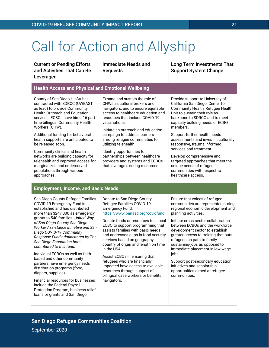## Call for Action and Allyship

Current or Pending Efforts and Activities That Can Be **Leveraged** 

Immediate Needs and Requests

Long Term Investments That Support System Change

### **Health Access and Physical and Emotional Wellbeing**

County of San Diego HHSA has contracted with SDRCC (UWEAST as lead) to provide Community Health Outreach and Education services. ECBOs have hired 16 parttime bilingual Community Health Workers (CHW).

Additional funding for behavioral health supports are anticipated to be released soon.

Community clinics and health networks are building capacity for telehealth and improved access for marginalized and underserved populations through various approaches.

Expand and sustain the role of CHWs as cultural brokers and navigators, and to ensure equitable access to healthcare education and resources that include COVID-19 vaccinations.

Initiate an outreach and education campaign to address barriers among refugee communities to utilizing telehealth.

Identify opportunities for partnerships between healthcare providers and systems and ECBOs that leverage existing resources

Provide support to University of California San Diego, Center for Community Health, Refugee Health Unit to sustain their role as backbone to SDRCC and to meet capacity building needs of ECBO members.

Support further health needs assessments and invest in culturally responsive, trauma informed services and treatment.

Develop comprehensive and targeted approaches that meet the unique needs of refugee communities with respect to healthcare access.

### **Employment, Income, and Basic Needs**

San Diego County Refugee Families COVID-19 Emergency Fund is established and has distributed more than \$247,000 as emergency grants to 540 families. *United Way of San Diego County San Diego Worker Assistance Initiative and San Diego COVID-19 Community Response Fund administered by The San Diego Foundation both contributed to this fund.*

Individual ECBOs as well as faith based and other community partners have emergency needs distribution programs (food, diapers, supplies).

Financial resources for businesses include the Federal Payroll Protection Program, business relief loans or grants and San Diego

Donate to San Diego County Refugee Families COVID-19 Emergency Fund. <https://www.panasd.org/covidfund>

Donate funds or resources to a local ECBO to support programming that assists families with basic needs and addresses gaps in food security services based on geography, country of origin and length on time in the USA.

Assist ECBOs in ensuring that refugees who are financially impacted have access to available resources through support of bilingual case workers or benefits navigators.

Ensure that voices of refugee communities are represented during regional economic development and planning activities.

Initiate cross-sector collaboration between ECBOs and the workforce development sector to establish greater access to training that puts refugees on path to family sustaining-jobs as opposed to immediate placement in low wage jobs.

Support post-secondary education initiatives and scholarship opportunities aimed at refugee communities.

September 2020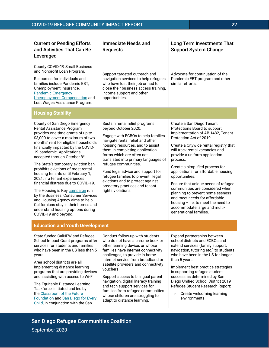| <b>Current or Pending Efforts</b><br>and Activities That Can Be<br>Leveraged                                                                                                                                                                                                                                                                                                                                                                                                                                                                                                                                                                                                               | <b>Immediate Needs and</b><br><b>Requests</b>                                                                                                                                                                                                                                                                                                                                                                                                                                                      | <b>Long Term Investments That</b><br><b>Support System Change</b>                                                                                                                                                                                                                                                                                                                                                                                                                                                                                                                                |
|--------------------------------------------------------------------------------------------------------------------------------------------------------------------------------------------------------------------------------------------------------------------------------------------------------------------------------------------------------------------------------------------------------------------------------------------------------------------------------------------------------------------------------------------------------------------------------------------------------------------------------------------------------------------------------------------|----------------------------------------------------------------------------------------------------------------------------------------------------------------------------------------------------------------------------------------------------------------------------------------------------------------------------------------------------------------------------------------------------------------------------------------------------------------------------------------------------|--------------------------------------------------------------------------------------------------------------------------------------------------------------------------------------------------------------------------------------------------------------------------------------------------------------------------------------------------------------------------------------------------------------------------------------------------------------------------------------------------------------------------------------------------------------------------------------------------|
| County COVID-19 Small Business<br>and Nonprofit Loan Program.<br>Resources for individuals and<br>families include Pandemic EBT,<br>Unemployment Insurance,<br><b>Pandemic Emergency</b><br>Unemployment Compensation and<br>Lost Wages Assistance Program.                                                                                                                                                                                                                                                                                                                                                                                                                                | Support targeted outreach and<br>navigation services to help refugees<br>who have lost their job or had to<br>close their business access training,<br>income support and other<br>opportunities.                                                                                                                                                                                                                                                                                                  | Advocate for continuation of the<br>Pandemic EBT program and other<br>similar efforts.                                                                                                                                                                                                                                                                                                                                                                                                                                                                                                           |
| <b>Housing Stability</b>                                                                                                                                                                                                                                                                                                                                                                                                                                                                                                                                                                                                                                                                   |                                                                                                                                                                                                                                                                                                                                                                                                                                                                                                    |                                                                                                                                                                                                                                                                                                                                                                                                                                                                                                                                                                                                  |
| County of San Diego Emergency<br>Rental Assistance Program<br>provides one-time grants of up to<br>\$3,000 to cover a maximum of two<br>months' rent for eligible households<br>financially impacted by the COVID-<br>19 pandemic. Applications<br>accepted through October 8th.<br>The State's temporary eviction ban<br>prohibits evictions of most rental<br>housing tenants until February 1,<br>2021, if a tenant experiences<br>financial distress due to COVID-19.<br>The Housing is Key campaign run<br>by the Business, Consumer Services<br>and Housing Agency aims to help<br>Californians stay in their homes and<br>understand housing options during<br>COVID-19 and beyond. | Sustain rental relief programs<br>beyond October 2020.<br>Engage with ECBOs to help families<br>navigate rental relief and other<br>housing resources, and to assist<br>them in completing application<br>forms which are often not<br>translated into primary languages of<br>refugee communities.<br>Fund legal advice and support for<br>refugee families to prevent illegal<br>evictions and to protect against<br>predatory practices and tenant<br>rights violations.                        | Create a San Diego Tenant<br>Protections Board to support<br>implementation of AB 1482, Tenant<br>Protection Act of 2019.<br>Create a Citywide rental registry that<br>will track rental vacancies and<br>provide a uniform application<br>process.<br>Create a simplified process for<br>applications for affordable housing<br>opportunities.<br>Ensure that unique needs of refugee<br>communities are considered when<br>planning to prevent homelessness<br>and meet needs for affordable<br>housing $-$ i.e. to meet the need to<br>accommodate large and multi-<br>generational families. |
| <b>Education and Youth Development</b>                                                                                                                                                                                                                                                                                                                                                                                                                                                                                                                                                                                                                                                     |                                                                                                                                                                                                                                                                                                                                                                                                                                                                                                    |                                                                                                                                                                                                                                                                                                                                                                                                                                                                                                                                                                                                  |
| State funded CalNEW and Refugee<br>School Impact Grant programs offer<br>services for students and families<br>who have been in the US less than 5<br>years.<br>Area school districts are all<br>implementing distance learning<br>programs that are providing devices<br>and assisting with access to Wi-Fi.<br>The Equitable Distance Learning<br>Taskforce, initiated and led by<br>the Classroom of the Future<br><b>Foundation and San Diego for Every</b><br>Ohild in conjunction with the Con                                                                                                                                                                                       | Conduct follow-up with students<br>who do not have a chrome book or<br>other learning device, or whose<br>families have internet connectivity<br>challenges, to provide in-home<br>internet service from broadband or<br>satellite providers and connectivity<br>vouchers.<br>Support access to bilingual parent<br>navigation, digital literacy training<br>and tech support services for<br>families from refugee communities<br>whose children are struggling to<br>adapt to distance learning. | Expand partnerships between<br>school districts and ECBOs and<br>extend services (family support,<br>navigation, tutoring etc.) to students<br>who have been in the US for longer<br>than 5 years.<br>Implement best practice strategies<br>in supporting refugee student<br>success as determined by San<br>Diego Unified School District 2019<br>Refugee Student Research Report:<br>Create welcoming learning<br>$\circ$<br>environments.                                                                                                                                                     |

San Diego Refugee Communities Coalition

September 2020

[Child,](http://www.sandiegoforeverychild.org/) in conjunction with the San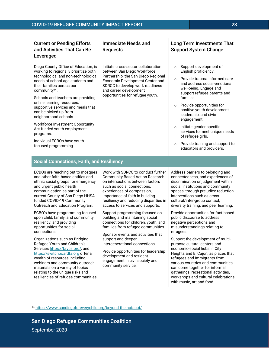| <b>Current or Pending Efforts</b><br>and Activities That Can Be<br>Leveraged                                                                                                                                                                                                                                                                                                                                                                                                                                 | Immediate Needs and<br><b>Requests</b>                                                                                                                                                                                                        | Long Term Investments That<br><b>Support System Change</b>                                                                                                                                                                                                                                                                                                                                                                                                                                        |
|--------------------------------------------------------------------------------------------------------------------------------------------------------------------------------------------------------------------------------------------------------------------------------------------------------------------------------------------------------------------------------------------------------------------------------------------------------------------------------------------------------------|-----------------------------------------------------------------------------------------------------------------------------------------------------------------------------------------------------------------------------------------------|---------------------------------------------------------------------------------------------------------------------------------------------------------------------------------------------------------------------------------------------------------------------------------------------------------------------------------------------------------------------------------------------------------------------------------------------------------------------------------------------------|
| Diego County Office of Education, is<br>working to regionally prioritize both<br>technological and non-technological<br>needs of school-age students and<br>their families across our<br>community $14$ .<br>Schools and teachers are providing<br>online learning resources,<br>supportive services and meals that<br>can be picked up from<br>neighborhood schools.<br>Workforce Investment Opportunity<br>Act funded youth employment<br>programs.<br>Individual ECBOs have youth<br>focused programming. | Initiate cross-sector collaboration<br>between San Diego Workforce<br>Partnership, the San Diego Regional<br>Economic Development Center and<br>SDRCC to develop work-readiness<br>and career development<br>opportunities for refugee youth. | Support development of<br>$\circ$<br>English proficiency.<br>Provide trauma-informed care<br>$\Omega$<br>and address social-emotional<br>well-being. Engage and<br>support refugee parents and<br>families.<br>Provide opportunities for<br>$\circ$<br>positive youth development,<br>leadership, and civic<br>engagement.<br>Initiate gender specific<br>$\circ$<br>services to meet unique needs<br>of refugee girls.<br>Provide training and support to<br>$\circ$<br>educators and providers. |

| <b>Social Connections, Faith, and Resiliency</b> |
|--------------------------------------------------|
|--------------------------------------------------|

| ECBOs are reaching out to mosques  |
|------------------------------------|
| and other faith-based entities and |
| ethnic social groups for emergency |
| and urgent public health           |
| communication as part of the       |
| current County of San Diego HHSA   |
| funded COVID-19 Community          |
| Outreach and Education Program.    |

ECBO's have programming focused upon child, family, and community resiliency, and providing opportunities for social connections.

Organizations such as Bridging Refugee Youth and Children's Service[s https://brycs.org/,](https://brycs.org/) and [https://switchboardta.org](https://switchboardta.org/) offer a wealth of resources including webinars and community outreach materials on a variety of topics relating to the unique risks and resiliencies of refugee communities. Work with SDRCC to conduct further Community Based Action Research on intersections between factors such as social connections, experiences of compassion, importance of faith in building resiliency and reducing disparities in access to services and supports.

Support programming focused on building and maintaining social connections for children, youth, and families from refugee communities.

Sponsor events and activities that support and deepen intergenerational connections.

Provide opportunities for leadership development and resident engagement in civil society and community service.

Address barriers to belonging and connectedness, and experiences of discrimination or judgement within social institutions and community spaces, through prejudice reduction interventions such as crosscultural/inter-group contact, diversity training, and peer learning.

Provide opportunities for fact-based public discourse to address negative perceptions and misunderstandings relating to refugees.

Support the development of multipurpose cultural centers and economic-social hubs in City Heights and El Cajon, as places that refugees and immigrants from various countries and communities can come together for informal gatherings, recreational activities, workshops and cultural celebrations with music, art and food.

<sup>14</sup> <https://www.sandiegoforeverychild.org/beyond-the-hotspot/>